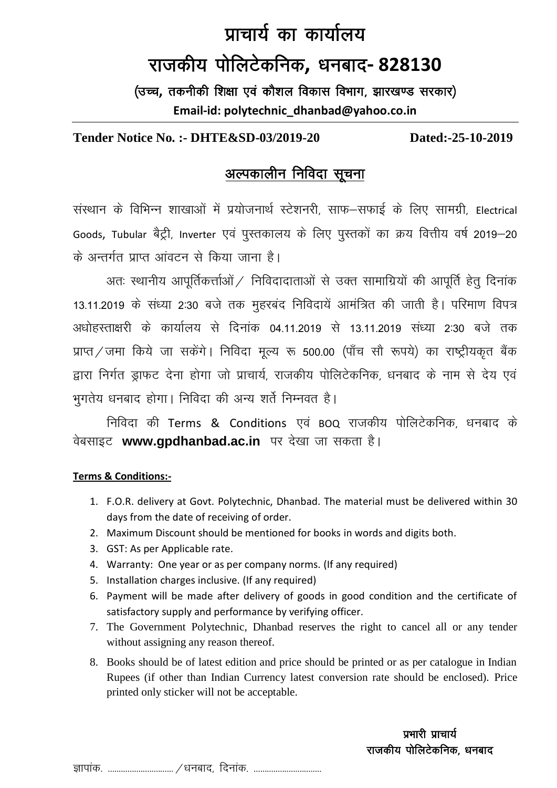## प्राचार्य का कार्यालय राजकीय पोलिटेकनिक, धनबाद- 828130

(उच्च, तकनीकी शिक्षा एवं कौशल विकास विभाग, झारखण्ड सरकार) Email-id: polytechnic dhanbad@yahoo.co.in

## **Tender Notice No. :- DHTE&SD-03/2019-20**

Dated:-25-10-2019

## अल्पकालीन निविदा सूचना

संस्थान के विभिन्न शाखाओं में प्रयोजनार्थ स्टेशनरी, साफ–सफाई के लिए सामग्री, Electrical Goods, Tubular बैट्री, Inverter एवं पुस्तकालय के लिए पुस्तकों का क्रय वित्तीय वर्ष 2019–20 के अन्तर्गत प्राप्त आंवटन से किया जाना है।

अतः स्थानीय आपूर्तिकर्त्ताओं / निविदादाताओं से उक्त सामाग्रियों की आपूर्ति हेतु दिनांक 13.11.2019 के संध्या 2:30 बजे तक मुहरबंद निविदायें आमंत्रित की जाती है। परिमाण विपत्र अधोहस्ताक्षरी के कार्यालय से दिनांक 04.11.2019 से 13.11.2019 संध्या 2:30 बजे तक प्राप्त / जमा किये जा सकेंगे। निविदा मूल्य रू 500.00 (पाँच सौ रूपये) का राष्ट्रीयकृत बैंक द्वारा निर्गत डाफट देना होगा जो प्राचार्य, राजकीय पोलिटेकनिक, धनबाद के नाम से देय एवं भुगतेय धनबाद होगा। निविदा की अन्य शर्ते निम्नवत है।

निविदा की Terms & Conditions एवं BOQ राजकीय पोलिटेकनिक, धनबाद के वेबसाइट www.gpdhanbad.ac.in पर देखा जा सकता है।

## **Terms & Conditions:-**

- 1. F.O.R. delivery at Govt. Polytechnic, Dhanbad. The material must be delivered within 30 days from the date of receiving of order.
- 2. Maximum Discount should be mentioned for books in words and digits both.
- 3. GST: As per Applicable rate.
- 4. Warranty: One year or as per company norms. (If any required)
- 5. Installation charges inclusive. (If any required)
- 6. Payment will be made after delivery of goods in good condition and the certificate of satisfactory supply and performance by verifying officer.
- 7. The Government Polytechnic, Dhanbad reserves the right to cancel all or any tender without assigning any reason thereof.
- 8. Books should be of latest edition and price should be printed or as per catalogue in Indian Rupees (if other than Indian Currency latest conversion rate should be enclosed). Price printed only sticker will not be acceptable.

प्रभारी प्राचार्य राजकीय पोलिटेकनिक, धनबाद